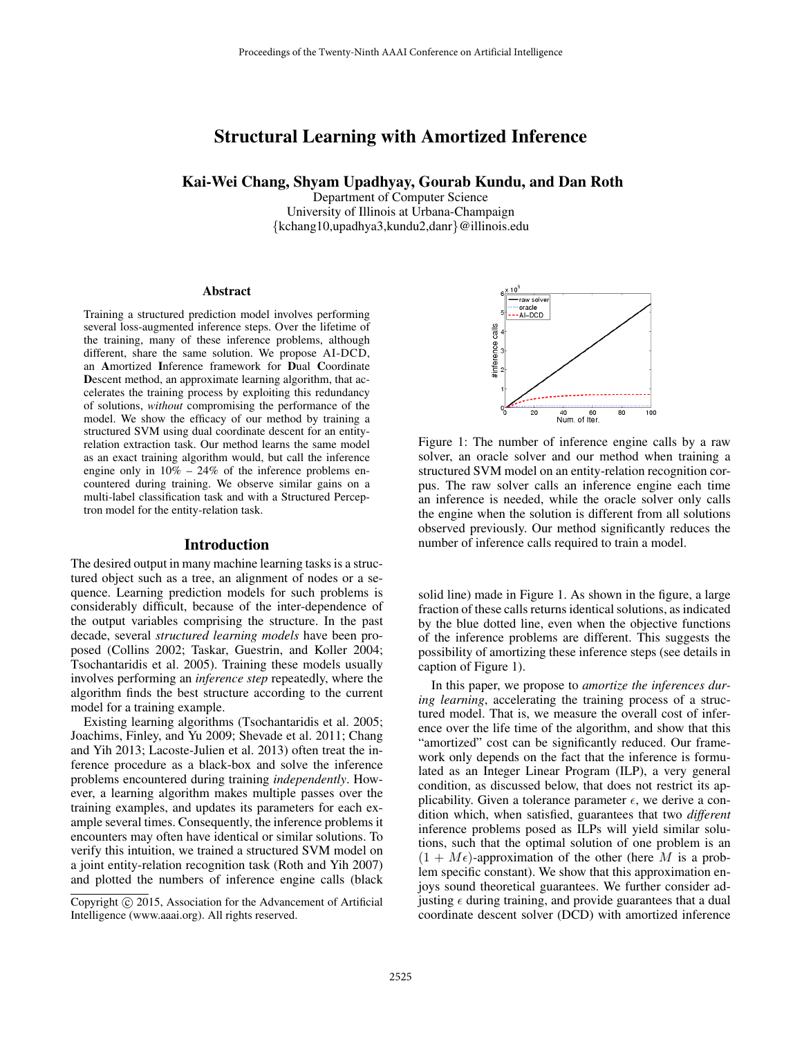# Structural Learning with Amortized Inference

Kai-Wei Chang, Shyam Upadhyay, Gourab Kundu, and Dan Roth

Department of Computer Science University of Illinois at Urbana-Champaign {kchang10,upadhya3,kundu2,danr}@illinois.edu

#### Abstract

Training a structured prediction model involves performing several loss-augmented inference steps. Over the lifetime of the training, many of these inference problems, although different, share the same solution. We propose AI-DCD, an Amortized Inference framework for Dual Coordinate Descent method, an approximate learning algorithm, that accelerates the training process by exploiting this redundancy of solutions, *without* compromising the performance of the model. We show the efficacy of our method by training a structured SVM using dual coordinate descent for an entityrelation extraction task. Our method learns the same model as an exact training algorithm would, but call the inference engine only in  $10\% - 24\%$  of the inference problems encountered during training. We observe similar gains on a multi-label classification task and with a Structured Perceptron model for the entity-relation task.

#### Introduction

The desired output in many machine learning tasks is a structured object such as a tree, an alignment of nodes or a sequence. Learning prediction models for such problems is considerably difficult, because of the inter-dependence of the output variables comprising the structure. In the past decade, several *structured learning models* have been proposed (Collins 2002; Taskar, Guestrin, and Koller 2004; Tsochantaridis et al. 2005). Training these models usually involves performing an *inference step* repeatedly, where the algorithm finds the best structure according to the current model for a training example.

Existing learning algorithms (Tsochantaridis et al. 2005; Joachims, Finley, and Yu 2009; Shevade et al. 2011; Chang and Yih 2013; Lacoste-Julien et al. 2013) often treat the inference procedure as a black-box and solve the inference problems encountered during training *independently*. However, a learning algorithm makes multiple passes over the training examples, and updates its parameters for each example several times. Consequently, the inference problems it encounters may often have identical or similar solutions. To verify this intuition, we trained a structured SVM model on a joint entity-relation recognition task (Roth and Yih 2007) and plotted the numbers of inference engine calls (black



Figure 1: The number of inference engine calls by a raw solver, an oracle solver and our method when training a structured SVM model on an entity-relation recognition corpus. The raw solver calls an inference engine each time an inference is needed, while the oracle solver only calls the engine when the solution is different from all solutions observed previously. Our method significantly reduces the number of inference calls required to train a model.

solid line) made in Figure 1. As shown in the figure, a large fraction of these calls returns identical solutions, as indicated by the blue dotted line, even when the objective functions of the inference problems are different. This suggests the possibility of amortizing these inference steps (see details in caption of Figure 1).

In this paper, we propose to *amortize the inferences during learning*, accelerating the training process of a structured model. That is, we measure the overall cost of inference over the life time of the algorithm, and show that this "amortized" cost can be significantly reduced. Our framework only depends on the fact that the inference is formulated as an Integer Linear Program (ILP), a very general condition, as discussed below, that does not restrict its applicability. Given a tolerance parameter  $\epsilon$ , we derive a condition which, when satisfied, guarantees that two *different* inference problems posed as ILPs will yield similar solutions, such that the optimal solution of one problem is an  $(1 + M\epsilon)$ -approximation of the other (here M is a problem specific constant). We show that this approximation enjoys sound theoretical guarantees. We further consider adjusting  $\epsilon$  during training, and provide guarantees that a dual coordinate descent solver (DCD) with amortized inference

Copyright (c) 2015, Association for the Advancement of Artificial Intelligence (www.aaai.org). All rights reserved.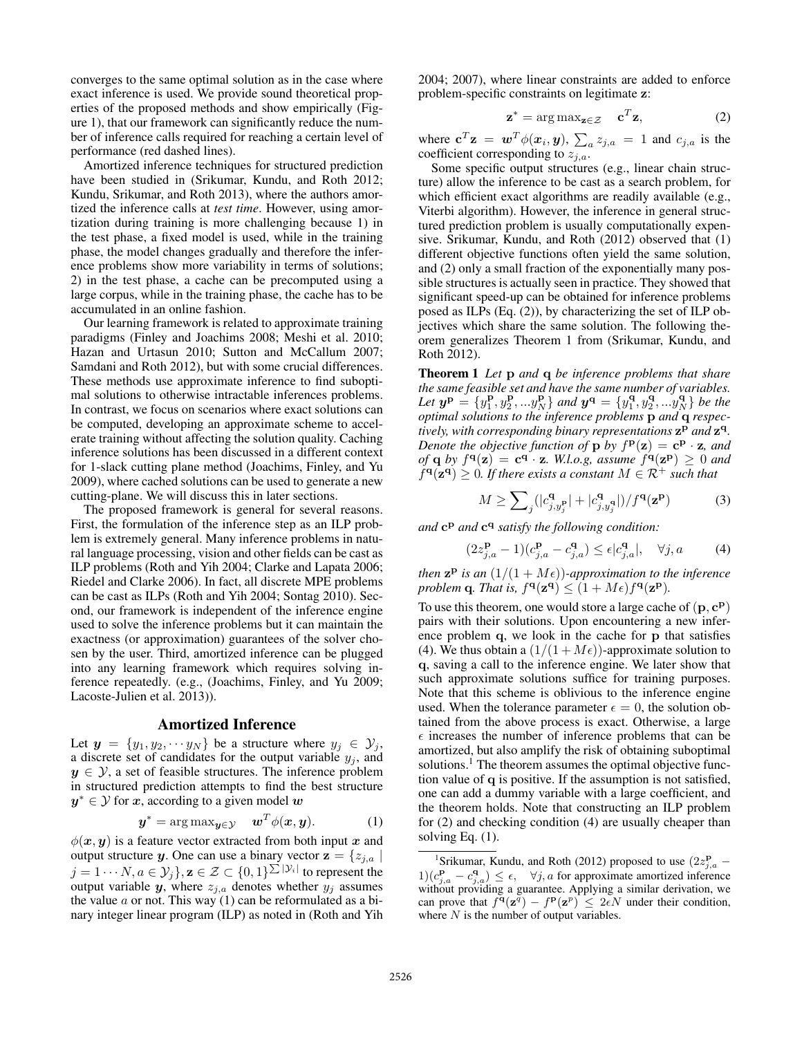converges to the same optimal solution as in the case where exact inference is used. We provide sound theoretical properties of the proposed methods and show empirically (Figure 1), that our framework can significantly reduce the number of inference calls required for reaching a certain level of performance (red dashed lines).

Amortized inference techniques for structured prediction have been studied in (Srikumar, Kundu, and Roth 2012; Kundu, Srikumar, and Roth 2013), where the authors amortized the inference calls at *test time*. However, using amortization during training is more challenging because 1) in the test phase, a fixed model is used, while in the training phase, the model changes gradually and therefore the inference problems show more variability in terms of solutions; 2) in the test phase, a cache can be precomputed using a large corpus, while in the training phase, the cache has to be accumulated in an online fashion.

Our learning framework is related to approximate training paradigms (Finley and Joachims 2008; Meshi et al. 2010; Hazan and Urtasun 2010; Sutton and McCallum 2007; Samdani and Roth 2012), but with some crucial differences. These methods use approximate inference to find suboptimal solutions to otherwise intractable inferences problems. In contrast, we focus on scenarios where exact solutions can be computed, developing an approximate scheme to accelerate training without affecting the solution quality. Caching inference solutions has been discussed in a different context for 1-slack cutting plane method (Joachims, Finley, and Yu 2009), where cached solutions can be used to generate a new cutting-plane. We will discuss this in later sections.

The proposed framework is general for several reasons. First, the formulation of the inference step as an ILP problem is extremely general. Many inference problems in natural language processing, vision and other fields can be cast as ILP problems (Roth and Yih 2004; Clarke and Lapata 2006; Riedel and Clarke 2006). In fact, all discrete MPE problems can be cast as ILPs (Roth and Yih 2004; Sontag 2010). Second, our framework is independent of the inference engine used to solve the inference problems but it can maintain the exactness (or approximation) guarantees of the solver chosen by the user. Third, amortized inference can be plugged into any learning framework which requires solving inference repeatedly. (e.g., (Joachims, Finley, and Yu 2009; Lacoste-Julien et al. 2013)).

#### Amortized Inference

Let  $y = \{y_1, y_2, \dots y_N\}$  be a structure where  $y_j \in \mathcal{Y}_j$ , a discrete set of candidates for the output variable  $y_j$ , and  $y \in \mathcal{Y}$ , a set of feasible structures. The inference problem in structured prediction attempts to find the best structure  $y^* \in \mathcal{Y}$  for  $x$ , according to a given model  $w$ 

$$
\mathbf{y}^* = \arg \max_{\mathbf{y} \in \mathcal{Y}} \quad \mathbf{w}^T \phi(\mathbf{x}, \mathbf{y}). \tag{1}
$$

 $\phi(x, y)$  is a feature vector extracted from both input x and output structure y. One can use a binary vector  $z = \{z_{j,a} \mid a_j\}$  $j=1\cdots N, a\in{\mathcal Y}_j\}, {\bf z}\in{\mathcal Z}\subset\{0,1\}^{\sum |{\mathcal Y}_i|}$  to represent the output variable y, where  $z_{i,a}$  denotes whether  $y_i$  assumes the value  $a$  or not. This way (1) can be reformulated as a binary integer linear program (ILP) as noted in (Roth and Yih 2004; 2007), where linear constraints are added to enforce problem-specific constraints on legitimate z:

$$
\mathbf{z}^* = \arg \max_{\mathbf{z} \in \mathcal{Z}} \quad \mathbf{c}^T \mathbf{z}, \tag{2}
$$

where  $\mathbf{c}^T \mathbf{z} = \mathbf{w}^T \phi(\mathbf{x}_i, \mathbf{y}), \sum_a z_{j,a} = 1$  and  $c_{j,a}$  is the coefficient corresponding to  $z_{j,a}$ .

Some specific output structures (e.g., linear chain structure) allow the inference to be cast as a search problem, for which efficient exact algorithms are readily available (e.g., Viterbi algorithm). However, the inference in general structured prediction problem is usually computationally expensive. Srikumar, Kundu, and Roth (2012) observed that (1) different objective functions often yield the same solution, and (2) only a small fraction of the exponentially many possible structures is actually seen in practice. They showed that significant speed-up can be obtained for inference problems posed as ILPs (Eq. (2)), by characterizing the set of ILP objectives which share the same solution. The following theorem generalizes Theorem 1 from (Srikumar, Kundu, and Roth 2012).

Theorem 1 *Let* p *and* q *be inference problems that share the same feasible set and have the same number of variables.* Let  $y^{\bf p} = \{y_1^{\bf p}, y_2^{\bf p}, ... y_N^{\bf p}\}$  and  $y^{\bf q} = \{y_1^{\bf q}, y_2^{\bf q}, ... y_N^{\bf q}\}$  be the *optimal solutions to the inference problems* p *and* q *respec*tively, with corresponding binary representations  $z^p$  and  $z^q$ . *Denote the objective function of*  $\bf{p}$  *by*  $f^{\bf{p}}(\bf{z}) = \bf{c}^{\bf{p}} \cdot \bf{z}$ *, and of* **q** *by*  $f^{\mathbf{q}}(\mathbf{z}) = \mathbf{c}^{\mathbf{q}} \cdot \mathbf{z}$ *. W.l.o.g, assume*  $f^{\mathbf{q}}(\mathbf{z}^{\mathbf{p}}) \ge 0$  *and*  $f^{\mathbf{q}}(\mathbf{z}^{\mathbf{q}}) \geq 0$ . If there exists a constant  $M \in \mathcal{R}^+$  such that

$$
M \ge \sum_{j} (|c_{j,y_j}^{\mathbf{q}}| + |c_{j,y_j}^{\mathbf{q}}|)/f^{\mathbf{q}}(\mathbf{z}^{\mathbf{p}})
$$
 (3)

and  $c^p$  *and*  $c^q$  *satisfy the following condition:* 

$$
(2z_{j,a}^{\mathbf{p}} - 1)(c_{j,a}^{\mathbf{p}} - c_{j,a}^{\mathbf{q}}) \le \epsilon |c_{j,a}^{\mathbf{q}}|, \quad \forall j, a \tag{4}
$$

*then*  $z^p$  *is an*  $(1/(1 + M\epsilon))$ *-approximation to the inference* problem **q**. That is,  $f^{\mathbf{q}}(\mathbf{z}^{\mathbf{q}}) \leq (1 + M\epsilon)f^{\mathbf{q}}(\mathbf{z}^{\mathbf{p}})$ .

To use this theorem, one would store a large cache of  $(\mathbf{p}, \mathbf{c^p})$ pairs with their solutions. Upon encountering a new inference problem q, we look in the cache for p that satisfies (4). We thus obtain a  $(1/(1 + M\epsilon))$ -approximate solution to q, saving a call to the inference engine. We later show that such approximate solutions suffice for training purposes. Note that this scheme is oblivious to the inference engine used. When the tolerance parameter  $\epsilon = 0$ , the solution obtained from the above process is exact. Otherwise, a large  $\epsilon$  increases the number of inference problems that can be amortized, but also amplify the risk of obtaining suboptimal solutions.<sup>1</sup> The theorem assumes the optimal objective function value of q is positive. If the assumption is not satisfied, one can add a dummy variable with a large coefficient, and the theorem holds. Note that constructing an ILP problem for (2) and checking condition (4) are usually cheaper than solving Eq. (1).

<sup>&</sup>lt;sup>1</sup>Srikumar, Kundu, and Roth (2012) proposed to use  $(2z_{j,a}^{\mathbf{p}} 1)(c_{j,a}^{\mathbf{p}} - c_{j,a}^{\mathbf{q}}) \leq \epsilon$ ,  $\forall j, a$  for approximate amortized inference without providing a guarantee. Applying a similar derivation, we can prove that  $f^{\mathbf{q}}(\mathbf{z}^{\bar{q}}) - f^{\mathbf{p}}(\mathbf{z}^p) \leq 2\epsilon N$  under their condition, where  $N$  is the number of output variables.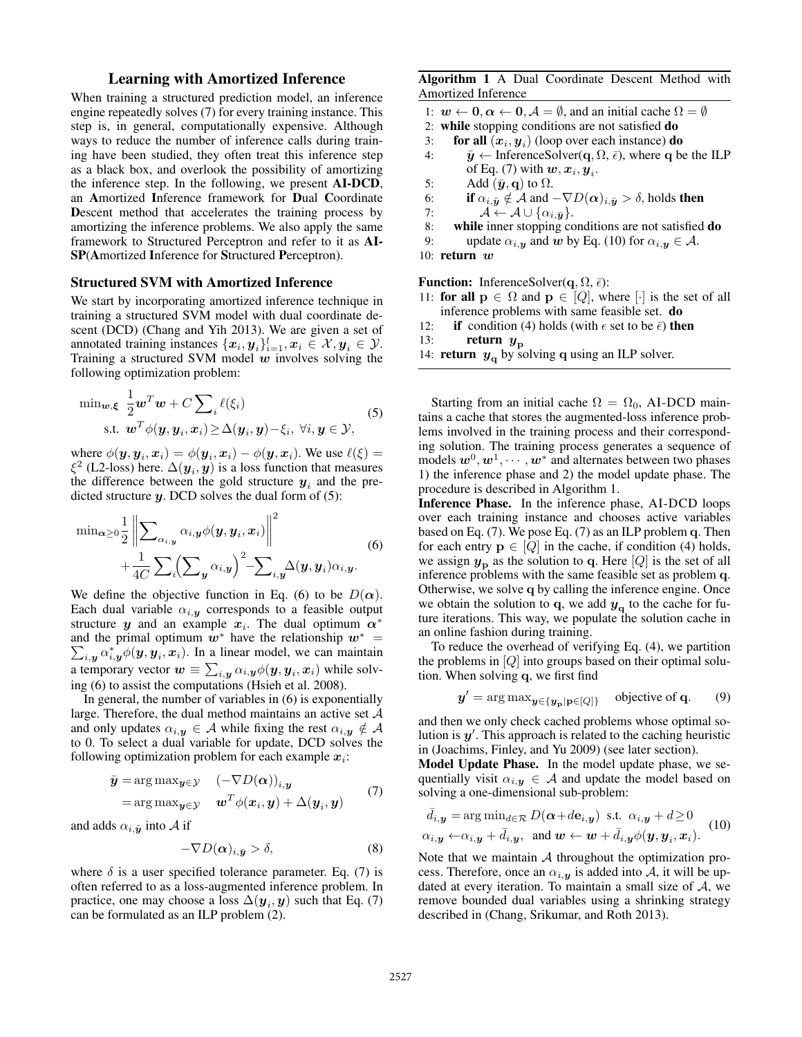## Learning with Amortized Inference

When training a structured prediction model, an inference engine repeatedly solves (7) for every training instance. This step is, in general, computationally expensive. Although ways to reduce the number of inference calls during training have been studied, they often treat this inference step as a black box, and overlook the possibility of amortizing the inference step. In the following, we present AI-DCD, an Amortized Inference framework for Dual Coordinate Descent method that accelerates the training process by amortizing the inference problems. We also apply the same framework to Structured Perceptron and refer to it as AI-SP(Amortized Inference for Structured Perceptron).

#### Structured SVM with Amortized Inference

We start by incorporating amortized inference technique in training a structured SVM model with dual coordinate descent (DCD) (Chang and Yih 2013). We are given a set of annotated training instances  $\{\boldsymbol{x}_i, \boldsymbol{y}_i\}_{i=1}^l, \boldsymbol{x}_i \in \mathcal{X}, \boldsymbol{y}_i \in \mathcal{Y}$ . Training a structured SVM model  $w$  involves solving the following optimization problem:

$$
\min_{\mathbf{w}, \xi} \frac{1}{2} \mathbf{w}^T \mathbf{w} + C \sum_{i} \ell(\xi_i)
$$
  
s.t. 
$$
\mathbf{w}^T \phi(\mathbf{y}, \mathbf{y}_i, \mathbf{x}_i) \ge \Delta(\mathbf{y}_i, \mathbf{y}) - \xi_i, \ \forall i, \mathbf{y} \in \mathcal{Y},
$$
 (5)

where  $\phi(\mathbf{y}, \mathbf{y}_i, \mathbf{x}_i) = \phi(\mathbf{y}_i, \mathbf{x}_i) - \phi(\mathbf{y}, \mathbf{x}_i)$ . We use  $\ell(\xi) =$  $\xi^2$  (L2-loss) here.  $\Delta(\boldsymbol{y}_i, \boldsymbol{y})$  is a loss function that measures the difference between the gold structure  $y_i$  and the predicted structure  $y$ . DCD solves the dual form of  $(5)$ :

$$
\min_{\alpha \geq 0} \frac{1}{2} \left\| \sum_{\alpha_{i}, y} \alpha_{i, y} \phi(y, y_{i}, x_{i}) \right\|^{2} + \frac{1}{4C} \sum_{i} \left( \sum_{y} \alpha_{i, y} \right)^{2} - \sum_{i, y} \Delta(y, y_{i}) \alpha_{i, y}.
$$
\n(6)

We define the objective function in Eq. (6) to be  $D(\alpha)$ . Each dual variable  $\alpha_{i,y}$  corresponds to a feasible output structure y and an example  $x_i$ . The dual optimum  $\alpha^*$ and the primal optimum  $w^*$  have the relationship  $w^* =$  $\sum_{i,\boldsymbol{y}} \alpha_{i,\boldsymbol{y}}^{*} \phi(\boldsymbol{y},\boldsymbol{y}_i,\boldsymbol{x}_i)$ . In a linear model, we can maintain a temporary vector  $\bm{w}\equiv\sum_{i,\bm{y}}\alpha_{i,\bm{y}}\phi(\bm{y},\bm{y}_i,\bm{x}_i)$  while solving (6) to assist the computations (Hsieh et al. 2008).

In general, the number of variables in (6) is exponentially large. Therefore, the dual method maintains an active set  $A$ and only updates  $\alpha_{i,\mathbf{y}} \in \mathcal{A}$  while fixing the rest  $\alpha_{i,\mathbf{y}} \notin \mathcal{A}$ to 0. To select a dual variable for update, DCD solves the following optimization problem for each example  $x_i$ :

$$
\bar{\mathbf{y}} = \arg \max_{\mathbf{y} \in \mathcal{Y}} \quad (-\nabla D(\boldsymbol{\alpha}))_{i,\mathbf{y}} \n= \arg \max_{\mathbf{y} \in \mathcal{Y}} \quad \mathbf{w}^T \phi(\mathbf{x}_i, \mathbf{y}) + \Delta(\mathbf{y}_i, \mathbf{y})
$$
\n(7)

and adds  $\alpha_{i,\bar{\pmb{y}}}$  into A if

$$
-\nabla D(\boldsymbol{\alpha})_{i,\bar{\boldsymbol{y}}} > \delta,\tag{8}
$$

where  $\delta$  is a user specified tolerance parameter. Eq. (7) is often referred to as a loss-augmented inference problem. In practice, one may choose a loss  $\Delta(\boldsymbol{y}_i, \boldsymbol{y})$  such that Eq. (7) can be formulated as an ILP problem (2).

Algorithm 1 A Dual Coordinate Descent Method with Amortized Inference

- 1:  $w \leftarrow 0, \alpha \leftarrow 0, \mathcal{A} = \emptyset$ , and an initial cache  $\Omega = \emptyset$
- 2: while stopping conditions are not satisfied do
- 3: **for all**  $(x_i, y_i)$  (loop over each instance) **do**
- 4:  $\bar{y} \leftarrow$  InferenceSolver(q,  $\Omega$ ,  $\bar{\epsilon}$ ), where q be the ILP of Eq. (7) with  $\boldsymbol{w}, \boldsymbol{x}_i, \boldsymbol{y}_i$ .
- 5: Add  $(\bar{y}, q)$  to  $\Omega$ .
- 6: if  $\alpha_{i,\bar{\bm{y}}} \notin \mathcal{A}$  and  $-\nabla D(\alpha)_{i,\bar{\bm{y}}} > \delta$ , holds then
- 7:  $\mathcal{A} \leftarrow \mathcal{A} \cup \{\alpha_{i,\bar{\bm{y}}}\}.$
- 8: while inner stopping conditions are not satisfied do
- 9: update  $\alpha_{i, y}$  and w by Eq. (10) for  $\alpha_{i, y} \in A$ .
- 10: return  $w$

**Function:** InferenceSolver( $\mathbf{q}, \Omega, \bar{\epsilon}$ ):

- 11: for all  $p \in \Omega$  and  $p \in [Q]$ , where  $[\cdot]$  is the set of all inference problems with same feasible set. do
- 12: **if** condition (4) holds (with  $\epsilon$  set to be  $\bar{\epsilon}$ ) then
- 13: **return**  $y_{\text{p}}$
- 14: **return**  $y_q$  by solving q using an ILP solver.

Starting from an initial cache  $\Omega = \Omega_0$ , AI-DCD maintains a cache that stores the augmented-loss inference problems involved in the training process and their corresponding solution. The training process generates a sequence of models  $w^0, w^1, \dots, w^*$  and alternates between two phases 1) the inference phase and 2) the model update phase. The procedure is described in Algorithm 1.

Inference Phase. In the inference phase, AI-DCD loops over each training instance and chooses active variables based on Eq. (7). We pose Eq. (7) as an ILP problem q. Then for each entry  $p \in [Q]$  in the cache, if condition (4) holds, we assign  $y_p$  as the solution to q. Here  $[Q]$  is the set of all inference problems with the same feasible set as problem q. Otherwise, we solve q by calling the inference engine. Once we obtain the solution to q, we add  $y<sub>q</sub>$  to the cache for future iterations. This way, we populate the solution cache in an online fashion during training.

To reduce the overhead of verifying Eq. (4), we partition the problems in  $[Q]$  into groups based on their optimal solution. When solving q, we first find

$$
y' = \arg \max_{y \in \{y_p | p \in [Q]\}} \text{ objective of } q.
$$
 (9)

and then we only check cached problems whose optimal solution is  $y'$ . This approach is related to the caching heuristic in (Joachims, Finley, and Yu 2009) (see later section).

Model Update Phase. In the model update phase, we sequentially visit  $\alpha_{i,y} \in A$  and update the model based on solving a one-dimensional sub-problem:

$$
\bar{d}_{i,\mathbf{y}} = \arg \min_{d \in \mathcal{R}} D(\boldsymbol{\alpha} + d\mathbf{e}_{i,\mathbf{y}}) \text{ s.t. } \alpha_{i,\mathbf{y}} + d \ge 0
$$
\n
$$
\alpha_{i,\mathbf{y}} \leftarrow \alpha_{i,\mathbf{y}} + \bar{d}_{i,\mathbf{y}}, \text{ and } \mathbf{w} \leftarrow \mathbf{w} + \bar{d}_{i,\mathbf{y}} \phi(\mathbf{y}, \mathbf{y}_i, \mathbf{x}_i). \tag{10}
$$

Note that we maintain  $A$  throughout the optimization process. Therefore, once an  $\alpha_{i,y}$  is added into A, it will be updated at every iteration. To maintain a small size of  $A$ , we remove bounded dual variables using a shrinking strategy described in (Chang, Srikumar, and Roth 2013).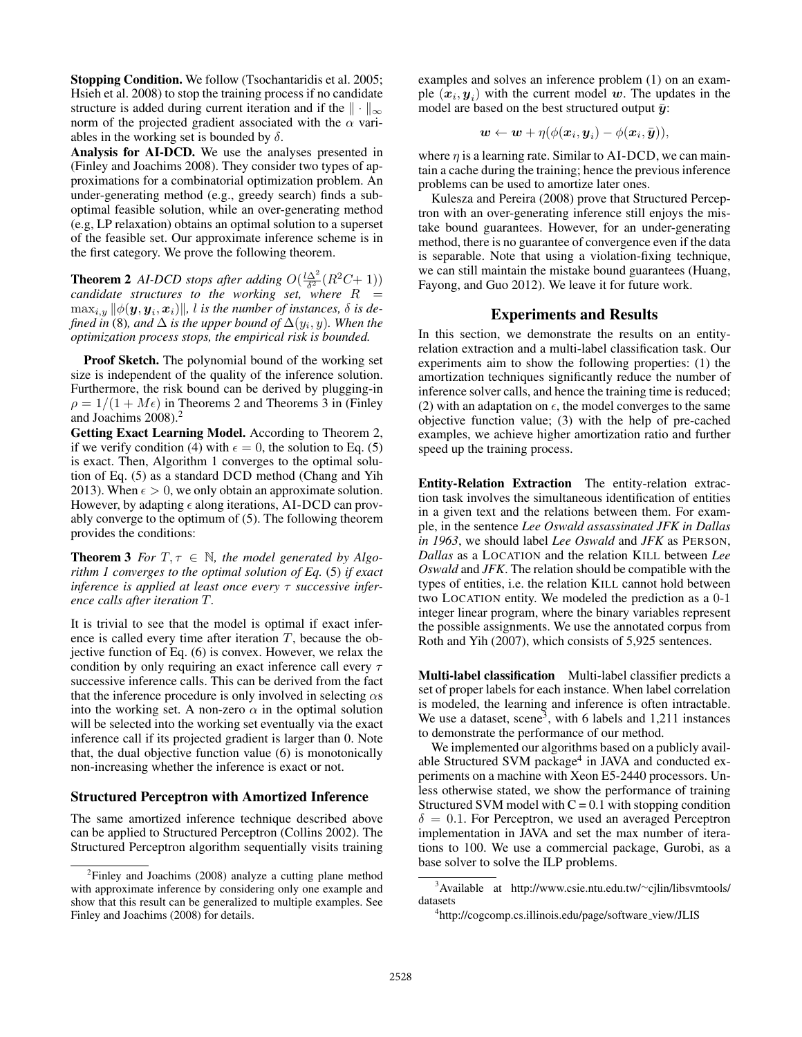Stopping Condition. We follow (Tsochantaridis et al. 2005; Hsieh et al. 2008) to stop the training process if no candidate structure is added during current iteration and if the  $\|\cdot\|_{\infty}$ norm of the projected gradient associated with the  $\alpha$  variables in the working set is bounded by  $\delta$ .

Analysis for AI-DCD. We use the analyses presented in (Finley and Joachims 2008). They consider two types of approximations for a combinatorial optimization problem. An under-generating method (e.g., greedy search) finds a suboptimal feasible solution, while an over-generating method (e.g, LP relaxation) obtains an optimal solution to a superset of the feasible set. Our approximate inference scheme is in the first category. We prove the following theorem.

**Theorem 2** *AI-DCD stops after adding*  $O(\frac{l\Delta^2}{\delta^2}(R^2C+1))$ *candidate structures to the working set, where* R =  $\max_{i, y} \| \phi(\boldsymbol{y}, \boldsymbol{y}_i, \boldsymbol{x}_i) \|$ ,  $l$  is the number of instances,  $\delta$  is de*fined in* (8)*, and* ∆ *is the upper bound of* ∆(y<sup>i</sup> , y)*. When the optimization process stops, the empirical risk is bounded.*

Proof Sketch. The polynomial bound of the working set size is independent of the quality of the inference solution. Furthermore, the risk bound can be derived by plugging-in  $\rho = 1/(1 + M\epsilon)$  in Theorems 2 and Theorems 3 in (Finley and Joachims 2008).<sup>2</sup>

Getting Exact Learning Model. According to Theorem 2, if we verify condition (4) with  $\epsilon = 0$ , the solution to Eq. (5) is exact. Then, Algorithm 1 converges to the optimal solution of Eq. (5) as a standard DCD method (Chang and Yih 2013). When  $\epsilon > 0$ , we only obtain an approximate solution. However, by adapting  $\epsilon$  along iterations, AI-DCD can provably converge to the optimum of (5). The following theorem provides the conditions:

**Theorem 3** *For*  $T, \tau \in \mathbb{N}$ *, the model generated by Algorithm 1 converges to the optimal solution of Eq.* (5) *if exact inference is applied at least once every* τ *successive inference calls after iteration* T*.*

It is trivial to see that the model is optimal if exact inference is called every time after iteration  $T$ , because the objective function of Eq. (6) is convex. However, we relax the condition by only requiring an exact inference call every  $\tau$ successive inference calls. This can be derived from the fact that the inference procedure is only involved in selecting  $\alpha s$ into the working set. A non-zero  $\alpha$  in the optimal solution will be selected into the working set eventually via the exact inference call if its projected gradient is larger than 0. Note that, the dual objective function value (6) is monotonically non-increasing whether the inference is exact or not.

### Structured Perceptron with Amortized Inference

The same amortized inference technique described above can be applied to Structured Perceptron (Collins 2002). The Structured Perceptron algorithm sequentially visits training examples and solves an inference problem (1) on an example  $(x_i, y_i)$  with the current model w. The updates in the model are based on the best structured output  $\bar{y}$ :

$$
\boldsymbol{w} \leftarrow \boldsymbol{w} + \eta (\phi(\boldsymbol{x}_i, \boldsymbol{y}_i) - \phi(\boldsymbol{x}_i, \bar{\boldsymbol{y}})),
$$

where  $\eta$  is a learning rate. Similar to AI-DCD, we can maintain a cache during the training; hence the previous inference problems can be used to amortize later ones.

Kulesza and Pereira (2008) prove that Structured Perceptron with an over-generating inference still enjoys the mistake bound guarantees. However, for an under-generating method, there is no guarantee of convergence even if the data is separable. Note that using a violation-fixing technique, we can still maintain the mistake bound guarantees (Huang, Fayong, and Guo 2012). We leave it for future work.

## Experiments and Results

In this section, we demonstrate the results on an entityrelation extraction and a multi-label classification task. Our experiments aim to show the following properties: (1) the amortization techniques significantly reduce the number of inference solver calls, and hence the training time is reduced; (2) with an adaptation on  $\epsilon$ , the model converges to the same objective function value; (3) with the help of pre-cached examples, we achieve higher amortization ratio and further speed up the training process.

Entity-Relation Extraction The entity-relation extraction task involves the simultaneous identification of entities in a given text and the relations between them. For example, in the sentence *Lee Oswald assassinated JFK in Dallas in 1963*, we should label *Lee Oswald* and *JFK* as PERSON, *Dallas* as a LOCATION and the relation KILL between *Lee Oswald* and *JFK*. The relation should be compatible with the types of entities, i.e. the relation KILL cannot hold between two LOCATION entity. We modeled the prediction as a 0-1 integer linear program, where the binary variables represent the possible assignments. We use the annotated corpus from Roth and Yih (2007), which consists of 5,925 sentences.

Multi-label classification Multi-label classifier predicts a set of proper labels for each instance. When label correlation is modeled, the learning and inference is often intractable. We use a dataset, scene<sup>3</sup>, with 6 labels and  $1,211$  instances to demonstrate the performance of our method.

We implemented our algorithms based on a publicly available Structured SVM package<sup>4</sup> in JAVA and conducted experiments on a machine with Xeon E5-2440 processors. Unless otherwise stated, we show the performance of training Structured SVM model with  $C = 0.1$  with stopping condition  $\delta = 0.1$ . For Perceptron, we used an averaged Perceptron implementation in JAVA and set the max number of iterations to 100. We use a commercial package, Gurobi, as a base solver to solve the ILP problems.

<sup>&</sup>lt;sup>2</sup>Finley and Joachims (2008) analyze a cutting plane method with approximate inference by considering only one example and show that this result can be generalized to multiple examples. See Finley and Joachims (2008) for details.

<sup>3</sup>Available at http://www.csie.ntu.edu.tw/∼cjlin/libsvmtools/ datasets

<sup>4</sup> http://cogcomp.cs.illinois.edu/page/software view/JLIS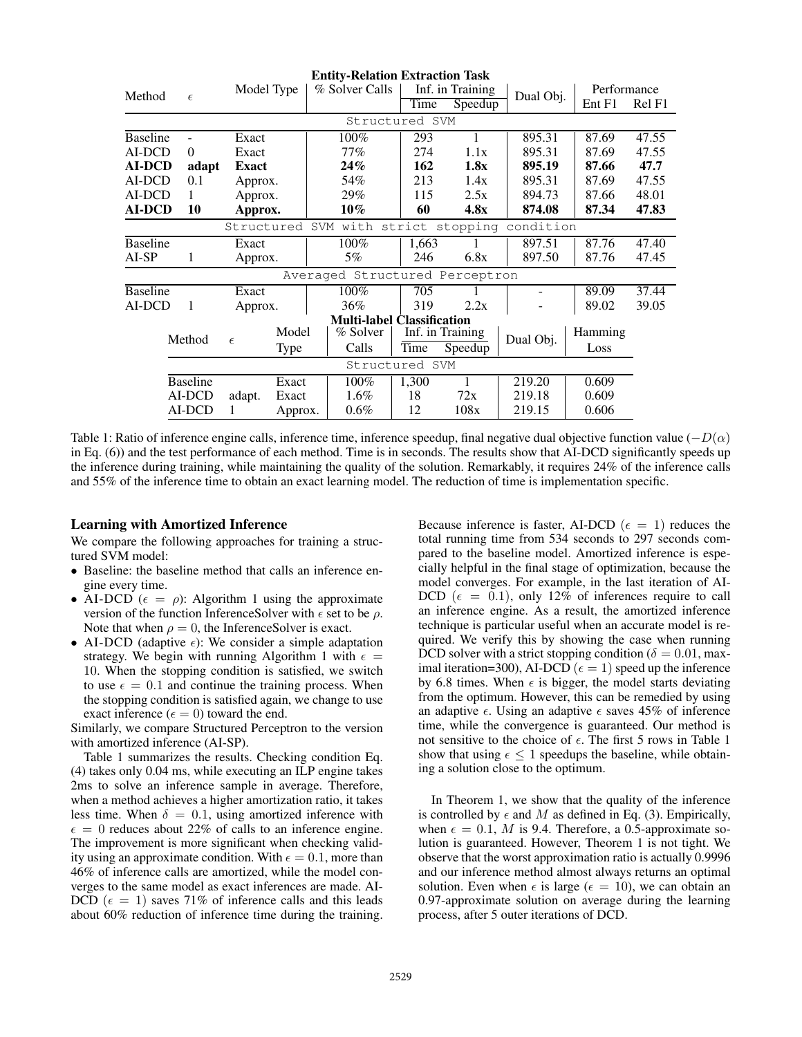|                                   |                   |            |             | <b>Entity-Relation Extraction Task</b> |       |                  |           |             |        |
|-----------------------------------|-------------------|------------|-------------|----------------------------------------|-------|------------------|-----------|-------------|--------|
| Method                            |                   | Model Type |             | % Solver Calls                         |       | Inf. in Training | Dual Obj. | Performance |        |
|                                   | $\epsilon$        |            |             |                                        | Time  | $S$ peedup       |           | Ent F1      | Rel F1 |
|                                   |                   |            |             | Structured SVM                         |       |                  |           |             |        |
| <b>Baseline</b><br>$\overline{a}$ |                   | Exact      |             | 100%                                   | 293   | 1                | 895.31    | 87.69       | 47.55  |
| AI-DCD                            | $\Omega$<br>Exact |            |             | 77%                                    | 274   | 1.1x             | 895.31    | 87.69       | 47.55  |
| <b>AI-DCD</b><br>adapt            |                   | Exact      |             | 24%                                    | 162   | 1.8x             | 895.19    | 87.66       | 47.7   |
| AI-DCD                            | 0.1               |            | Approx.     | 54%                                    | 213   | 1.4x             | 895.31    | 87.69       | 47.55  |
| AI-DCD<br>1                       |                   | Approx.    |             | 29%                                    | 115   | 2.5x             | 894.73    | 87.66       | 48.01  |
| <b>AI-DCD</b><br>10               |                   | Approx.    |             | $10\%$                                 | 60    | 4.8x             | 874.08    | 87.34       | 47.83  |
|                                   |                   | Structured |             | SVM with strict stopping               |       |                  | condition |             |        |
| <b>Baseline</b>                   |                   | Exact      |             | 100%                                   | 1,663 |                  | 897.51    | 87.76       | 47.40  |
| AI-SP                             | 1                 | Approx.    |             | 5%                                     | 246   | 6.8x             | 897.50    | 87.76       | 47.45  |
|                                   |                   |            |             | Averaged Structured Perceptron         |       |                  |           |             |        |
| <b>Baseline</b>                   |                   | Exact      |             | 100%                                   | 705   |                  |           | 89.09       | 37.44  |
| AI-DCD                            | $\mathbf{1}$      | Approx.    |             | 36%                                    | 319   | 2.2x             |           | 89.02       | 39.05  |
|                                   |                   |            |             | <b>Multi-label Classification</b>      |       |                  |           |             |        |
|                                   | Method            |            | Model       | % Solver                               |       | Inf. in Training | Dual Obj. | Hamming     |        |
|                                   |                   | $\epsilon$ | <b>Type</b> | Calls                                  | Time  | Speedup          |           | Loss        |        |
| Structured SVM                    |                   |            |             |                                        |       |                  |           |             |        |
|                                   | <b>Baseline</b>   |            | Exact       | $100\%$                                | 1,300 | 1                | 219.20    | 0.609       |        |
| AI-DCD                            |                   | adapt.     | Exact       | $1.6\%$                                | 18    | 72x              | 219.18    | 0.609       |        |
|                                   | AI-DCD            | 1          | Approx.     | $0.6\%$                                | 12    | 108x             | 219.15    | 0.606       |        |

Table 1: Ratio of inference engine calls, inference time, inference speedup, final negative dual objective function value  $(-D(\alpha))$ in Eq. (6)) and the test performance of each method. Time is in seconds. The results show that AI-DCD significantly speeds up the inference during training, while maintaining the quality of the solution. Remarkably, it requires 24% of the inference calls and 55% of the inference time to obtain an exact learning model. The reduction of time is implementation specific.

#### Learning with Amortized Inference

We compare the following approaches for training a structured SVM model:

- Baseline: the baseline method that calls an inference engine every time.
- AI-DCD ( $\epsilon = \rho$ ): Algorithm 1 using the approximate version of the function InferenceSolver with  $\epsilon$  set to be  $\rho$ . Note that when  $\rho = 0$ , the InferenceSolver is exact.
- AI-DCD (adaptive  $\epsilon$ ): We consider a simple adaptation strategy. We begin with running Algorithm 1 with  $\epsilon =$ 10. When the stopping condition is satisfied, we switch to use  $\epsilon = 0.1$  and continue the training process. When the stopping condition is satisfied again, we change to use exact inference ( $\epsilon = 0$ ) toward the end.

Similarly, we compare Structured Perceptron to the version with amortized inference (AI-SP).

Table 1 summarizes the results. Checking condition Eq. (4) takes only 0.04 ms, while executing an ILP engine takes 2ms to solve an inference sample in average. Therefore, when a method achieves a higher amortization ratio, it takes less time. When  $\delta = 0.1$ , using amortized inference with  $\epsilon = 0$  reduces about 22% of calls to an inference engine. The improvement is more significant when checking validity using an approximate condition. With  $\epsilon = 0.1$ , more than 46% of inference calls are amortized, while the model converges to the same model as exact inferences are made. AI-DCD ( $\epsilon = 1$ ) saves 71% of inference calls and this leads about 60% reduction of inference time during the training.

Because inference is faster, AI-DCD ( $\epsilon = 1$ ) reduces the total running time from 534 seconds to 297 seconds compared to the baseline model. Amortized inference is especially helpful in the final stage of optimization, because the model converges. For example, in the last iteration of AI-DCD ( $\epsilon = 0.1$ ), only 12% of inferences require to call an inference engine. As a result, the amortized inference technique is particular useful when an accurate model is required. We verify this by showing the case when running DCD solver with a strict stopping condition ( $\delta = 0.01$ , maximal iteration=300), AI-DCD ( $\epsilon = 1$ ) speed up the inference by 6.8 times. When  $\epsilon$  is bigger, the model starts deviating from the optimum. However, this can be remedied by using an adaptive  $\epsilon$ . Using an adaptive  $\epsilon$  saves 45% of inference time, while the convergence is guaranteed. Our method is not sensitive to the choice of  $\epsilon$ . The first 5 rows in Table 1 show that using  $\epsilon \leq 1$  speedups the baseline, while obtaining a solution close to the optimum.

In Theorem 1, we show that the quality of the inference is controlled by  $\epsilon$  and M as defined in Eq. (3). Empirically, when  $\epsilon = 0.1$ , *M* is 9.4. Therefore, a 0.5-approximate solution is guaranteed. However, Theorem 1 is not tight. We observe that the worst approximation ratio is actually 0.9996 and our inference method almost always returns an optimal solution. Even when  $\epsilon$  is large ( $\epsilon = 10$ ), we can obtain an 0.97-approximate solution on average during the learning process, after 5 outer iterations of DCD.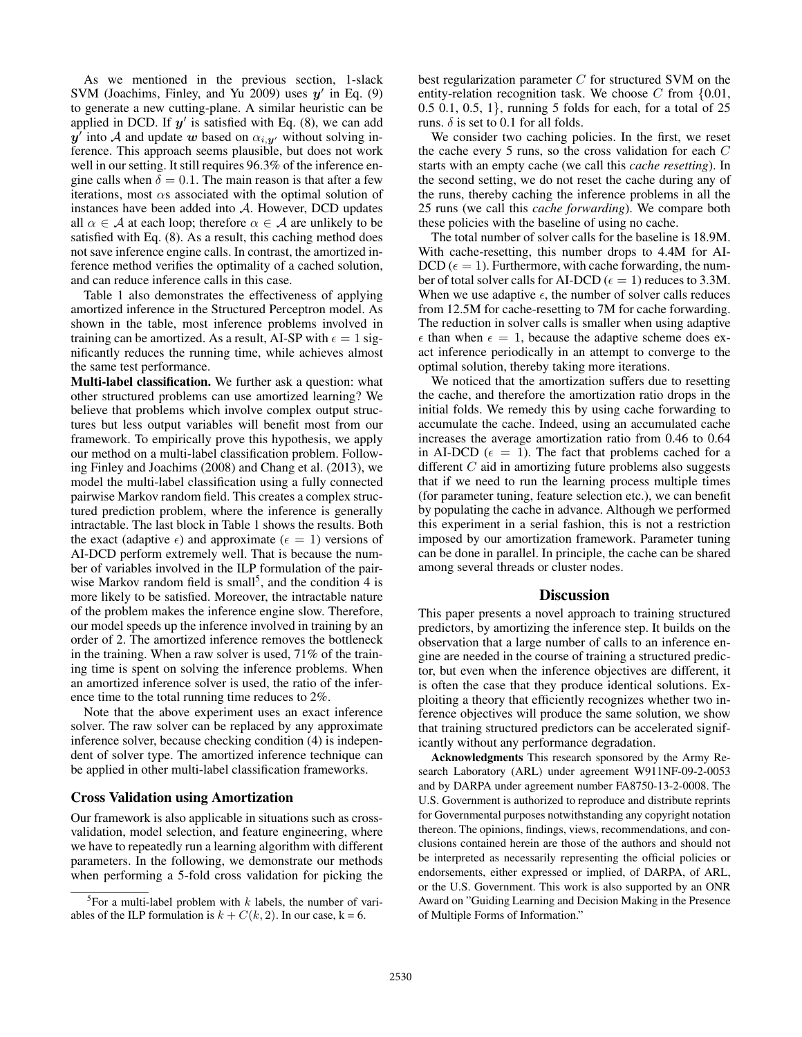As we mentioned in the previous section, 1-slack SVM (Joachims, Finley, and Yu 2009) uses  $y'$  in Eq. (9) to generate a new cutting-plane. A similar heuristic can be applied in DCD. If  $y'$  is satisfied with Eq. (8), we can add  $y'$  into A and update w based on  $\alpha_{i,y'}$  without solving inference. This approach seems plausible, but does not work well in our setting. It still requires 96.3% of the inference engine calls when  $\delta = 0.1$ . The main reason is that after a few iterations, most  $\alpha$ s associated with the optimal solution of instances have been added into A. However, DCD updates all  $\alpha \in A$  at each loop; therefore  $\alpha \in A$  are unlikely to be satisfied with Eq. (8). As a result, this caching method does not save inference engine calls. In contrast, the amortized inference method verifies the optimality of a cached solution, and can reduce inference calls in this case.

Table 1 also demonstrates the effectiveness of applying amortized inference in the Structured Perceptron model. As shown in the table, most inference problems involved in training can be amortized. As a result, AI-SP with  $\epsilon = 1$  significantly reduces the running time, while achieves almost the same test performance.

Multi-label classification. We further ask a question: what other structured problems can use amortized learning? We believe that problems which involve complex output structures but less output variables will benefit most from our framework. To empirically prove this hypothesis, we apply our method on a multi-label classification problem. Following Finley and Joachims (2008) and Chang et al. (2013), we model the multi-label classification using a fully connected pairwise Markov random field. This creates a complex structured prediction problem, where the inference is generally intractable. The last block in Table 1 shows the results. Both the exact (adaptive  $\epsilon$ ) and approximate ( $\epsilon = 1$ ) versions of AI-DCD perform extremely well. That is because the number of variables involved in the ILP formulation of the pairwise Markov random field is small<sup>5</sup>, and the condition  $4$  is more likely to be satisfied. Moreover, the intractable nature of the problem makes the inference engine slow. Therefore, our model speeds up the inference involved in training by an order of 2. The amortized inference removes the bottleneck in the training. When a raw solver is used, 71% of the training time is spent on solving the inference problems. When an amortized inference solver is used, the ratio of the inference time to the total running time reduces to 2%.

Note that the above experiment uses an exact inference solver. The raw solver can be replaced by any approximate inference solver, because checking condition (4) is independent of solver type. The amortized inference technique can be applied in other multi-label classification frameworks.

#### Cross Validation using Amortization

Our framework is also applicable in situations such as crossvalidation, model selection, and feature engineering, where we have to repeatedly run a learning algorithm with different parameters. In the following, we demonstrate our methods when performing a 5-fold cross validation for picking the

best regularization parameter  $C$  for structured SVM on the entity-relation recognition task. We choose  $C$  from  $\{0.01,$ 0.5 0.1, 0.5, 1}, running 5 folds for each, for a total of 25 runs.  $\delta$  is set to 0.1 for all folds.

We consider two caching policies. In the first, we reset the cache every 5 runs, so the cross validation for each  $C$ starts with an empty cache (we call this *cache resetting*). In the second setting, we do not reset the cache during any of the runs, thereby caching the inference problems in all the 25 runs (we call this *cache forwarding*). We compare both these policies with the baseline of using no cache.

The total number of solver calls for the baseline is 18.9M. With cache-resetting, this number drops to 4.4M for AI- $DCD (\epsilon = 1)$ . Furthermore, with cache forwarding, the number of total solver calls for AI-DCD ( $\epsilon = 1$ ) reduces to 3.3M. When we use adaptive  $\epsilon$ , the number of solver calls reduces from 12.5M for cache-resetting to 7M for cache forwarding. The reduction in solver calls is smaller when using adaptive  $\epsilon$  than when  $\epsilon = 1$ , because the adaptive scheme does exact inference periodically in an attempt to converge to the optimal solution, thereby taking more iterations.

We noticed that the amortization suffers due to resetting the cache, and therefore the amortization ratio drops in the initial folds. We remedy this by using cache forwarding to accumulate the cache. Indeed, using an accumulated cache increases the average amortization ratio from 0.46 to 0.64 in AI-DCD ( $\epsilon = 1$ ). The fact that problems cached for a different  $C$  aid in amortizing future problems also suggests that if we need to run the learning process multiple times (for parameter tuning, feature selection etc.), we can benefit by populating the cache in advance. Although we performed this experiment in a serial fashion, this is not a restriction imposed by our amortization framework. Parameter tuning can be done in parallel. In principle, the cache can be shared among several threads or cluster nodes.

#### **Discussion**

This paper presents a novel approach to training structured predictors, by amortizing the inference step. It builds on the observation that a large number of calls to an inference engine are needed in the course of training a structured predictor, but even when the inference objectives are different, it is often the case that they produce identical solutions. Exploiting a theory that efficiently recognizes whether two inference objectives will produce the same solution, we show that training structured predictors can be accelerated significantly without any performance degradation.

Acknowledgments This research sponsored by the Army Research Laboratory (ARL) under agreement W911NF-09-2-0053 and by DARPA under agreement number FA8750-13-2-0008. The U.S. Government is authorized to reproduce and distribute reprints for Governmental purposes notwithstanding any copyright notation thereon. The opinions, findings, views, recommendations, and conclusions contained herein are those of the authors and should not be interpreted as necessarily representing the official policies or endorsements, either expressed or implied, of DARPA, of ARL, or the U.S. Government. This work is also supported by an ONR Award on "Guiding Learning and Decision Making in the Presence of Multiple Forms of Information."

<sup>&</sup>lt;sup>5</sup>For a multi-label problem with  $k$  labels, the number of variables of the ILP formulation is  $k + C(k, 2)$ . In our case,  $k = 6$ .